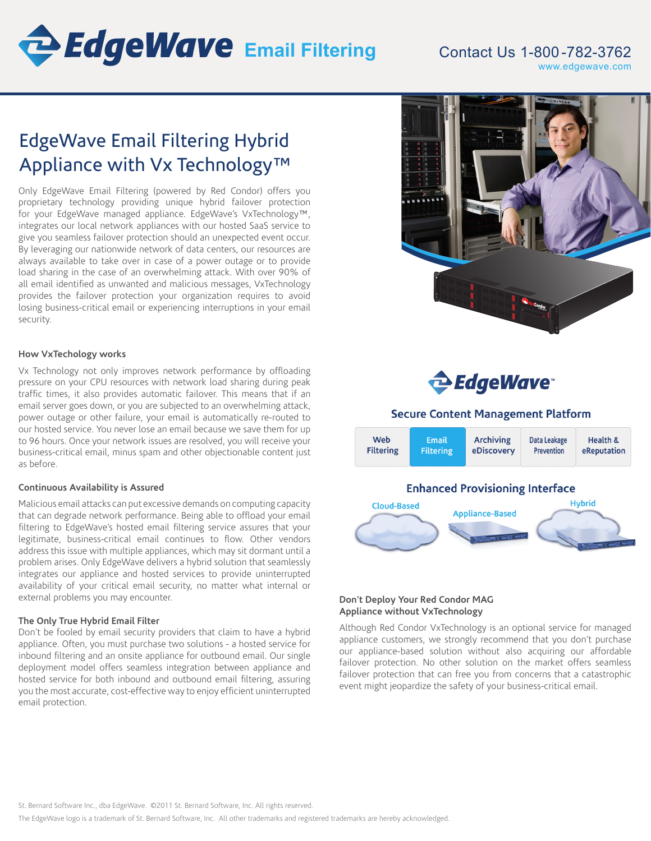

# Contact Us 1-800 -782-3762 www.edgewave.com

# EdgeWave Email Filtering Hybrid Appliance with Vx Technology™

Only EdgeWave Email Filtering (powered by Red Condor) offers you proprietary technology providing unique hybrid failover protection for your EdgeWave managed appliance. EdgeWave's VxTechnology™, integrates our local network appliances with our hosted SaaS service to give you seamless failover protection should an unexpected event occur. By leveraging our nationwide network of data centers, our resources are always available to take over in case of a power outage or to provide load sharing in the case of an overwhelming attack. With over 90% of all email identified as unwanted and malicious messages, VxTechnology provides the failover protection your organization requires to avoid losing business-critical email or experiencing interruptions in your email security.

## **How VxTechology works**

Vx Technology not only improves network performance by offloading pressure on your CPU resources with network load sharing during peak traffic times, it also provides automatic failover. This means that if an email server goes down, or you are subjected to an overwhelming attack, power outage or other failure, your email is automatically re-routed to our hosted service. You never lose an email because we save them for up to 96 hours. Once your network issues are resolved, you will receive your business-critical email, minus spam and other objectionable content just as before.

#### **Continuous Availability is Assured**

Malicious email attacks can put excessive demands on computing capacity that can degrade network performance. Being able to offload your email filtering to EdgeWave's hosted email filtering service assures that your legitimate, business-critical email continues to flow. Other vendors address this issue with multiple appliances, which may sit dormant until a problem arises. Only EdgeWave delivers a hybrid solution that seamlessly integrates our appliance and hosted services to provide uninterrupted availability of your critical email security, no matter what internal or external problems you may encounter.

#### **The Only True Hybrid Email Filter**

Don't be fooled by email security providers that claim to have a hybrid appliance. Often, you must purchase two solutions - a hosted service for inbound filtering and an onsite appliance for outbound email. Our single deployment model offers seamless integration between appliance and hosted service for both inbound and outbound email filtering, assuring you the most accurate, cost-effective way to enjoy efficient uninterrupted email protection.





# **Secure Content Management Platform**



## **Don't Deploy Your Red Condor MAG Appliance without VxTechnology**

Although Red Condor VxTechnology is an optional service for managed appliance customers, we strongly recommend that you don't purchase our appliance-based solution without also acquiring our affordable failover protection. No other solution on the market offers seamless failover protection that can free you from concerns that a catastrophic event might jeopardize the safety of your business-critical email.

St. Bernard Software Inc., dba EdgeWave. ©2011 St. Bernard Software, Inc. All rights reserved.

The EdgeWave logo is a trademark of St. Bernard Software, Inc. All other trademarks and registered trademarks are hereby acknowledged.